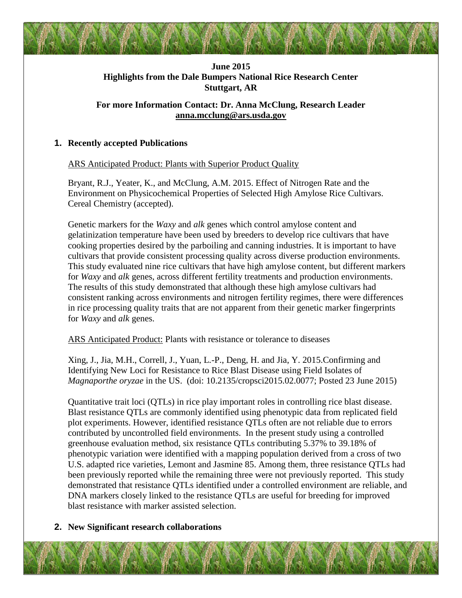# **June 2015 Highlights from the Dale Bumpers National Rice Research Center Stuttgart, AR**

# **For more Information Contact: Dr. Anna McClung, Research Leader [anna.mcclung@ars.usda.gov](mailto:anna.mcclung@ars.usda.gov)**

## **1. Recently accepted Publications**

ARS Anticipated Product: Plants with Superior Product Quality

Bryant, R.J., Yeater, K., and McClung, A.M. 2015. Effect of Nitrogen Rate and the Environment on Physicochemical Properties of Selected High Amylose Rice Cultivars. Cereal Chemistry (accepted).

Genetic markers for the *Waxy* and *alk* genes which control amylose content and gelatinization temperature have been used by breeders to develop rice cultivars that have cooking properties desired by the parboiling and canning industries. It is important to have cultivars that provide consistent processing quality across diverse production environments. This study evaluated nine rice cultivars that have high amylose content, but different markers for *Waxy* and *alk* genes, across different fertility treatments and production environments. The results of this study demonstrated that although these high amylose cultivars had consistent ranking across environments and nitrogen fertility regimes, there were differences in rice processing quality traits that are not apparent from their genetic marker fingerprints for *Waxy* and *alk* genes.

ARS Anticipated Product: Plants with resistance or tolerance to diseases

Xing, J., Jia, M.H., Correll, J., Yuan, L.-P., Deng, H. and Jia, Y. 2015.Confirming and Identifying New Loci for Resistance to Rice Blast Disease using Field Isolates of *Magnaporthe oryzae* in the US. (doi: 10.2135/cropsci2015.02.0077; Posted 23 June 2015)

Quantitative trait loci (QTLs) in rice play important roles in controlling rice blast disease. Blast resistance QTLs are commonly identified using phenotypic data from replicated field plot experiments. However, identified resistance QTLs often are not reliable due to errors contributed by uncontrolled field environments. In the present study using a controlled greenhouse evaluation method, six resistance QTLs contributing 5.37% to 39.18% of phenotypic variation were identified with a mapping population derived from a cross of two U.S. adapted rice varieties, Lemont and Jasmine 85. Among them, three resistance QTLs had been previously reported while the remaining three were not previously reported. This study demonstrated that resistance QTLs identified under a controlled environment are reliable, and DNA markers closely linked to the resistance QTLs are useful for breeding for improved blast resistance with marker assisted selection.

## **2. New Significant research collaborations**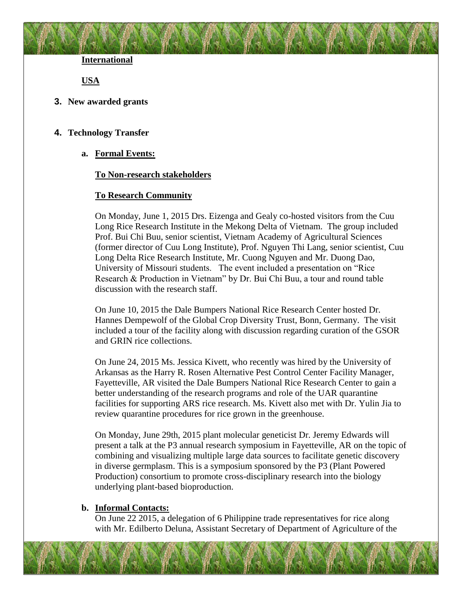**International**

**USA**

**3. New awarded grants**

## **4. Technology Transfer**

**a. Formal Events:**

#### **To Non-research stakeholders**

#### **To Research Community**

On Monday, June 1, 2015 Drs. Eizenga and Gealy co-hosted visitors from the Cuu Long Rice Research Institute in the Mekong Delta of Vietnam. The group included Prof. Bui Chi Buu, senior scientist, Vietnam Academy of Agricultural Sciences (former director of Cuu Long Institute), Prof. Nguyen Thi Lang, senior scientist, Cuu Long Delta Rice Research Institute, Mr. Cuong Nguyen and Mr. Duong Dao, University of Missouri students. The event included a presentation on "Rice Research & Production in Vietnam" by Dr. Bui Chi Buu, a tour and round table discussion with the research staff.

On June 10, 2015 the Dale Bumpers National Rice Research Center hosted Dr. Hannes Dempewolf of the Global Crop Diversity Trust, Bonn, Germany. The visit included a tour of the facility along with discussion regarding curation of the GSOR and GRIN rice collections.

On June 24, 2015 Ms. Jessica Kivett, who recently was hired by the University of Arkansas as the Harry R. Rosen Alternative Pest Control Center Facility Manager, Fayetteville, AR visited the Dale Bumpers National Rice Research Center to gain a better understanding of the research programs and role of the UAR quarantine facilities for supporting ARS rice research. Ms. Kivett also met with Dr. Yulin Jia to review quarantine procedures for rice grown in the greenhouse.

On Monday, June 29th, 2015 plant molecular geneticist Dr. Jeremy Edwards will present a talk at the P3 annual research symposium in Fayetteville, AR on the topic of combining and visualizing multiple large data sources to facilitate genetic discovery in diverse germplasm. This is a symposium sponsored by the P3 (Plant Powered Production) consortium to promote cross-disciplinary research into the biology underlying plant-based bioproduction.

#### **b. Informal Contacts:**

On June 22 2015, a delegation of 6 Philippine trade representatives for rice along with Mr. Edilberto Deluna, Assistant Secretary of Department of Agriculture of the